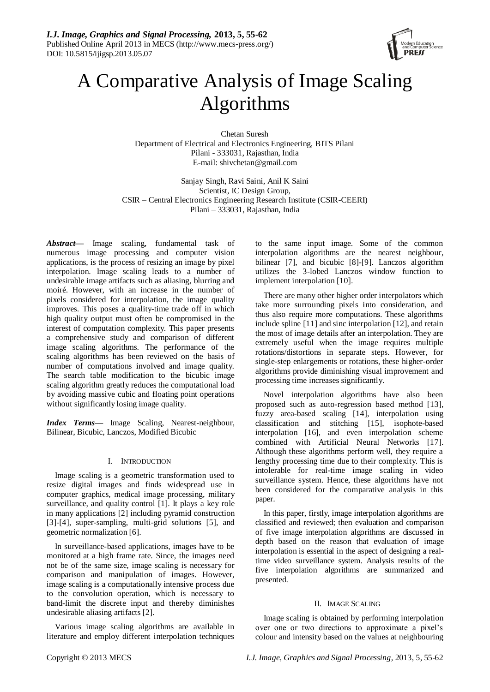

# A Comparative Analysis of Image Scaling Algorithms

Chetan Suresh Department of Electrical and Electronics Engineering, BITS Pilani Pilani - 333031, Rajasthan, India E-mail: shivchetan@gmail.com

Sanjay Singh, Ravi Saini, Anil K Saini Scientist, IC Design Group, CSIR – Central Electronics Engineering Research Institute (CSIR-CEERI) Pilani – 333031, Rajasthan, India

*Abstract***—** Image scaling, fundamental task of numerous image processing and computer vision applications, is the process of resizing an image by pixel interpolation. Image scaling leads to a number of undesirable image artifacts such as aliasing, blurring and moiré. However, with an increase in the number of pixels considered for interpolation, the image quality improves. This poses a quality-time trade off in which high quality output must often be compromised in the interest of computation complexity. This paper presents a comprehensive study and comparison of different image scaling algorithms. The performance of the scaling algorithms has been reviewed on the basis of number of computations involved and image quality. The search table modification to the bicubic image scaling algorithm greatly reduces the computational load by avoiding massive cubic and floating point operations without significantly losing image quality.

*Index Terms—* Image Scaling, Nearest-neighbour, Bilinear, Bicubic, Lanczos, Modified Bicubic

# I. INTRODUCTION

Image scaling is a geometric transformation used to resize digital images and finds widespread use in computer graphics, medical image processing, military surveillance, and quality control [1]. It plays a key role in many applications [2] including pyramid construction [3]-[4], super-sampling, multi-grid solutions [5], and geometric normalization [6].

In surveillance-based applications, images have to be monitored at a high frame rate. Since, the images need not be of the same size, image scaling is necessary for comparison and manipulation of images. However, image scaling is a computationally intensive process due to the convolution operation, which is necessary to band-limit the discrete input and thereby diminishes undesirable aliasing artifacts [2].

Various image scaling algorithms are available in literature and employ different interpolation techniques

to the same input image. Some of the common interpolation algorithms are the nearest neighbour, bilinear [7], and bicubic [8]-[9]. Lanczos algorithm utilizes the 3-lobed Lanczos window function to implement interpolation [10].

There are many other higher order interpolators which take more surrounding pixels into consideration, and thus also require more computations. These algorithms include spline [11] and sinc interpolation [12], and retain the most of image details after an interpolation. They are extremely useful when the image requires multiple rotations/distortions in separate steps. However, for single-step enlargements or rotations, these higher-order algorithms provide diminishing visual improvement and processing time increases significantly.

Novel interpolation algorithms have also been proposed such as auto-regression based method [13], fuzzy area-based scaling [14], interpolation using classification and stitching [15], isophote-based interpolation [16], and even interpolation scheme combined with Artificial Neural Networks [17]. Although these algorithms perform well, they require a lengthy processing time due to their complexity. This is intolerable for real-time image scaling in video surveillance system. Hence, these algorithms have not been considered for the comparative analysis in this paper.

In this paper, firstly, image interpolation algorithms are classified and reviewed; then evaluation and comparison of five image interpolation algorithms are discussed in depth based on the reason that evaluation of image interpolation is essential in the aspect of designing a realtime video surveillance system. Analysis results of the five interpolation algorithms are summarized and presented.

# II. IMAGE SCALING

Image scaling is obtained by performing interpolation over one or two directions to approximate a pixel's colour and intensity based on the values at neighbouring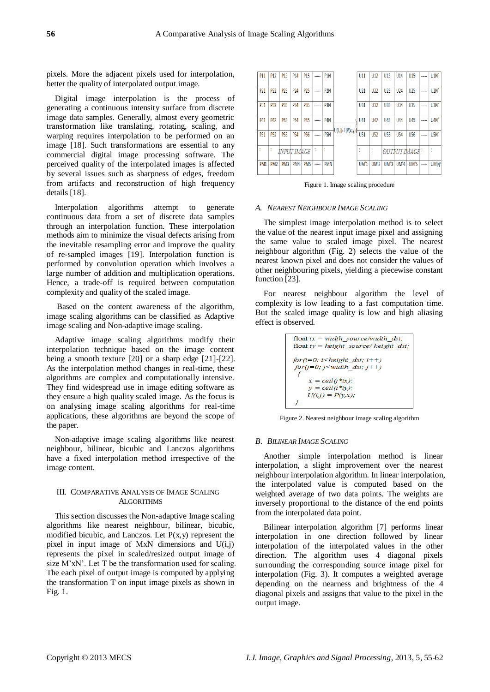pixels. More the adjacent pixels used for interpolation, better the quality of interpolated output image.

Digital image interpolation is the process of generating a continuous intensity surface from discrete image data samples. Generally, almost every geometric transformation like translating, rotating, scaling, and warping requires interpolation to be performed on an image [18]. Such transformations are essential to any commercial digital image processing software. The perceived quality of the interpolated images is affected by several issues such as sharpness of edges, freedom from artifacts and reconstruction of high frequency details [18].

Interpolation algorithms attempt to generate continuous data from a set of discrete data samples through an interpolation function. These interpolation methods aim to minimize the visual defects arising from the inevitable resampling error and improve the quality of re-sampled images [19]. Interpolation function is performed by convolution operation which involves a large number of addition and multiplication operations. Hence, a trade-off is required between computation complexity and quality of the scaled image.

Based on the content awareness of the algorithm, image scaling algorithms can be classified as Adaptive image scaling and Non-adaptive image scaling.

Adaptive image scaling algorithms modify their interpolation technique based on the image content being a smooth texture [20] or a sharp edge [21]-[22]. As the interpolation method changes in real-time, these algorithms are complex and computationally intensive. They find widespread use in image editing software as they ensure a high quality scaled image. As the focus is on analysing image scaling algorithms for real-time applications, these algorithms are beyond the scope of the paper.

Non-adaptive image scaling algorithms like nearest neighbour, bilinear, bicubic and Lanczos algorithms have a fixed interpolation method irrespective of the image content.

## III. COMPARATIVE ANALYSIS OF IMAGE SCALING ALGORITHMS

This section discusses the Non-adaptive Image scaling algorithms like nearest neighbour, bilinear, bicubic, modified bicubic, and Lanczos. Let  $P(x,y)$  represent the pixel in input image of  $MxN$  dimensions and  $U(i,j)$ represents the pixel in scaled/resized output image of size M'xN'. Let T be the transformation used for scaling. The each pixel of output image is computed by applying the transformation T on input image pixels as shown in Fig. 1.



Figure 1. Image scaling procedure

#### *A. NEAREST NEIGHBOUR IMAGE SCALING*

The simplest image interpolation method is to select the value of the nearest input image pixel and assigning the same value to scaled image pixel. The nearest neighbour algorithm (Fig. 2) selects the value of the nearest known pixel and does not consider the values of other neighbouring pixels, yielding a piecewise constant function [23].

For nearest neighbour algorithm the level of complexity is low leading to a fast computation time. But the scaled image quality is low and high aliasing effect is observed.

```
float tx = width source/width dst;
float ty = height source/height dst;
for(i=0; i \leq height \, dist; i++)for(j=0; j<width dst; j++)
     x = \text{ceil}(j * tx);y = \text{ceil}(i * t y);U(i,j) = P(y,x);
```
Figure 2. Nearest neighbour image scaling algorithm

#### *B. BILINEAR IMAGE SCALING*

Another simple interpolation method is linear interpolation, a slight improvement over the nearest neighbour interpolation algorithm. In linear interpolation, the interpolated value is computed based on the weighted average of two data points. The weights are inversely proportional to the distance of the end points from the interpolated data point.

Bilinear interpolation algorithm [7] performs linear interpolation in one direction followed by linear interpolation of the interpolated values in the other direction. The algorithm uses 4 diagonal pixels surrounding the corresponding source image pixel for interpolation (Fig. 3). It computes a weighted average depending on the nearness and brightness of the 4 diagonal pixels and assigns that value to the pixel in the output image.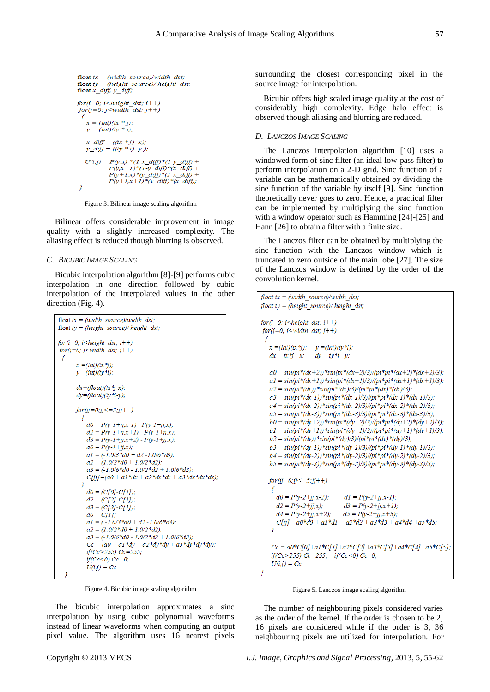```
float tx = (width\_source)/width\_dst;float ty = (height\_source) / height\_dst;float x diff, y diff;
for (i=0; i < height\_dst; i++)for (j=0; j\le width\_dst; j++)x = (int)(tx * j);y = (int)(ty * i);x_{diff} = ((tx * j) - x);<br>
y_{diff} = ((ty * i) - y);U(i,j) = P(y,x) * (1-x_{diff}) * (1-y_{diff}) +P(y, x+1) * (1-y \text{ diff}) * (x \text{ diff}) +P(y+1,x)*(y\_diff)*(1-x\_diff) +
            P(y+1,x+1)*(y_{dif})*(x_{dif});
```
Figure 3. Bilinear image scaling algorithm

Bilinear offers considerable improvement in image quality with a slightly increased complexity. The aliasing effect is reduced though blurring is observed.

## *C. BICUBIC IMAGE SCALING*

Bicubic interpolation algorithm [8]-[9] performs cubic interpolation in one direction followed by cubic interpolation of the interpolated values in the other direction (Fig. 4).

```
float tx = (width\ source)/width\ dist;float ty = (height \ source) / height \ dist;for (i=0; i \leq height \, dist; i++)for (j=0; j\le width \,dst; j++)x = (int)(tx *j);v = (int)(tv *i)dx = (float)(tx *i-x);dy = (float)(ty*_i-y);for (jj = 0; jj < = 3; jj + 1)3
           d0 = P(y-1+jj,x-1) - P(y-1+jj,x);d2 = P(y-1+jj,x+1) - P(y-1+jj,x);d3 = P(y-1+jj,x+2) - P(y-1+jj,x);a0 = P(y-1+jj,x);a1 = (-1.0/3 * d0 + d2 - 1.0/6 * d3);a2 = (1.0/2 * d0 + 1.0/2 * d2);a3 = (-1.0/6 * d0 - 1.0/2 * d2 + 1.0/6 * d3);C[jj] = (a0 + a1 * dx + a2 * dx * dx + a3 * dx * dx);\overline{\mathbf{z}}d0 = (C[0]-C[1]).d2 = (C[2] - C[1]);d3 = (C[3] - C[1]);a0 = C[1];a1 = (-1.0/3 * d0 + d2 - 1.0/6 * d3);a2 = (1.0/2* d0 + 1.0/2* d2)a3 = (-1.0/6 * d0 - 1.0/2 * d2 + 1.0/6 * d3);Cc = (a0 + a1 * dy + a2 * dy * dy + a3 * dy * dy);
           if(Cc>255) Cc=255;
           if(Cc < 0) Cc = 0:
           U(i,j) = Cc
```
Figure 4. Bicubic image scaling algorithm

The bicubic interpolation approximates a sinc interpolation by using cubic polynomial waveforms instead of linear waveforms when computing an output pixel value. The algorithm uses 16 nearest pixels

surrounding the closest corresponding pixel in the source image for interpolation.

Bicubic offers high scaled image quality at the cost of considerably high complexity. Edge halo effect is observed though aliasing and blurring are reduced.

## *D. LANCZOS IMAGE SCALING*

The Lanczos interpolation algorithm [10] uses a windowed form of sinc filter (an ideal low-pass filter) to perform interpolation on a 2-D grid. Sinc function of a variable can be mathematically obtained by dividing the sine function of the variable by itself [9]. Sinc function theoretically never goes to zero. Hence, a practical filter can be implemented by multiplying the sinc function with a window operator such as Hamming [24]-[25] and Hann [26] to obtain a filter with a finite size.

The Lanczos filter can be obtained by multiplying the sinc function with the Lanczos window which is truncated to zero outside of the main lobe [27]. The size of the Lanczos window is defined by the order of the convolution kernel.

```
float tx = (width\_source)/width\_dst;float ty = (height source)/ height dst;
for (i=0; i \leq height \, dist; i++)for(j=0; j\le width\_dst; j++)\mathcal{L}_{\mathcal{L}}x = (int)(tx *j); y = (int)(ty *i);dx = tx *j - x; dy = ty *i - y;a0 = sin(p i * (dx + 2)) * sin(p i * (dx + 2)/3)/(pi * pi * (dx + 2) * (dx + 2)/3);a1 = sin(p i*(dx+1))*sin(p i*(dx+1)/3)/(pi * pi*(dx+1)*(dx+1)/3);a2 = sin(p i*(dx)) * sin(p i*(dx)/3)/(pi * pi*(dx)*(dx)/3);a3 = sin(pi*(dx-1))*sin(pi*(dx-1)/3)/(pi*pi*(dx-1)*(dx-1)/3);a4 = sin(p i*(dx-2)) * sin(p i*(dx-2)/3)/(pi * pi*(dx-2)*(dx-2)/3);a5 = sin(p i*(dx-3)) * sin(p i*(dx-3)/3)/(pi * pi*(dx-3)*(dx-3)/3);b0 = sin(p i*(dv+2)) * sin(p i*(dv+2)/3)/(pi * pi*(dv+2)*(dv+2)/3);b1 = sin(p i*(dy+1))* sin(p i*(dy+1)/3)/(pi * pi*(dy+1)*(dy+1)/3);b2 = sin(pi*(dy)) * sin(pi*(dy)/3)/(pi * pi*(dy)*(dy)/3);b3 = sin(p i*(dv-1))*sin(p i*(dv-1)/3)/(pi * pi*(dv-1)*(dv-1)/3);b4 = sin(p i*(dy-2))*sin(p i*(dy-2)/3)/(pi *pi*(dy-2)*(dy-2)/3);b5 = sin(p i*(dy-3)) * sin(p i*(dy-3)/3)/(pi * pi*(dy-3)*(dy-3)/3);for (jj=0; jj<=5; jj++)₹
     d0 = P(y-2+jj,x-2);dI = P(y-2+jj,x-1);d2 = P(y-2+jj,x);d3 = P(y-2+jj,x+1);d4 = P(y-2+jj,x+2); d5 = P(y-2+jj,x+3);C[jj] = a0*d0 + a1*d1 + a2*d2 + a3*d3 + a4*d4 + a5*d5;3
    Cc = a0*C[0]+a1*C[1]+a2*C[2]+a3*C[3]+a4*C[4]+a5*C[5];if(Cc > 255) Cc = 255; if(Cc < 0) Cc = 0;U(i,j) = Cc;
```
Figure 5. Lanczos image scaling algorithm

The number of neighbouring pixels considered varies as the order of the kernel. If the order is chosen to be 2, 16 pixels are considered while if the order is 3, 36 neighbouring pixels are utilized for interpolation. For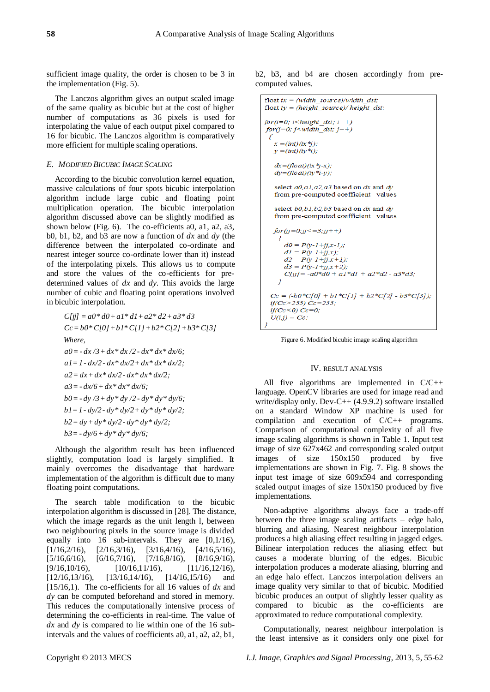sufficient image quality, the order is chosen to be 3 in the implementation (Fig. 5).

The Lanczos algorithm gives an output scaled image of the same quality as bicubic but at the cost of higher number of computations as 36 pixels is used for interpolating the value of each output pixel compared to 16 for bicubic. The Lanczos algorithm is comparatively more efficient for multiple scaling operations.

#### *E. MODIFIED BICUBIC IMAGE SCALING*

According to the bicubic convolution kernel equation, massive calculations of four spots bicubic interpolation algorithm include large cubic and floating point multiplication operation. The bicubic interpolation algorithm discussed above can be slightly modified as shown below (Fig. 6). The co-efficients a0, a1, a2, a3, b0, b1, b2, and b3 are now a function of *dx* and *dy* (the difference between the interpolated co-ordinate and nearest integer source co-ordinate lower than it) instead of the interpolating pixels. This allows us to compute and store the values of the co-efficients for predetermined values of *dx* and *dy*. This avoids the large number of cubic and floating point operations involved in bicubic interpolation.

$$
C[jj] = a0 * d0 + a1 * d1 + a2 * d2 + a3 * d3
$$
  
\n
$$
Cc = b0 * C[0] + b1 * C[1] + b2 * C[2] + b3 * C[3]
$$
  
\nWhere,  
\n
$$
a0 = -dx/3 + dx * dx/2 - dx * dx * dx/6;
$$
  
\n
$$
a1 = 1 - dx/2 - dx * dx/2 + dx * dx * dx/2;
$$
  
\n
$$
a2 = dx + dx * dx/2 - dx * dx * dx/2;
$$
  
\n
$$
a3 = -dx/6 + dx * dx * dx/6;
$$
  
\n
$$
b0 = -dy/3 + dy * dy/2 - dy * dy * dy/6;
$$
  
\n
$$
b1 = 1 - dy/2 - dy * dy/2 + dy * dy * dy/2;
$$
  
\n
$$
b2 = dy + dy * dy/2 - dy * dy * dy/2;
$$
  
\n
$$
b3 = -dy/6 + dy * dy * dy/6;
$$

Although the algorithm result has been influenced slightly, computation load is largely simplified. It mainly overcomes the disadvantage that hardware implementation of the algorithm is difficult due to many floating point computations.

The search table modification to the bicubic interpolation algorithm is discussed in [28]. The distance, which the image regards as the unit length l, between two neighbouring pixels in the source image is divided equally into 16 sub-intervals. They are [0,1/16),  $[1/16,2/16)$ ,  $[2/16,3/16)$ ,  $[3/16,4/16)$ ,  $[4/16,5/16)$ ,  $[5/16,6/16)$ ,  $[6/16,7/16)$ ,  $[7/16,8/16)$ ,  $[8/16,9/16)$ ,  $[9/16, 10/16),$   $[10/16, 11/16),$   $[11/16, 12/16),$  $[12/16, 13/16]$ ,  $[13/16, 14/16]$ ,  $[14/16, 15/16]$  and [15/16,1). The co-efficients for all 16 values of *dx* and *dy* can be computed beforehand and stored in memory. This reduces the computationally intensive process of determining the co-efficients in real-time. The value of *dx* and *dy* is compared to lie within one of the 16 subintervals and the values of coefficients a0, a1, a2, a2, b1,

b2, b3, and b4 are chosen accordingly from precomputed values.

```
float tx = (width\ source)/width\ dist.
float ty = (height\ source) / height\ dist;for(i=0; i \le height\_dst; i++)
for(j=0; j<width dst; j++)
 ₹
  x = (int)(tx * i):
  y = (int)(ty *i);dx = (float)(tx *j-x);dy=(fload)(ty*_i-y);select a0, a1, a2, a3 based on dx and dy
   from pre-computed coefficient values
   select h0 h1 h2 h3 hased on dx and dy
   from pre-computed coefficient values
  for (jj = 0; jj < = 3; jj + 1)₹
      d0 = P(y-1+ij,x-1);dI = P(y - I + jj, x);d2 = P(y-1+jj,x+1);<br>d2 = P(y-1+jj,x+1);d3 = P(y-1+jj,x+2);C[jj] = -a0*d0 + a1*d1 + a2*d2 - a3*d3;Cc = (-b0*C[0] + b1*C[1] + b2*C[2] - b3*C[3]);if(Cc > 255) Cc = 255:
 if(Cc < 0) Cc = 0;
 U(i,j) = Cc;
```
Figure 6. Modified bicubic image scaling algorithm

#### IV. RESULT ANALYSIS

All five algorithms are implemented in C/C++ language. OpenCV libraries are used for image read and write/display only. Dev-C++ (4.9.9.2) software installed on a standard Window XP machine is used for compilation and execution of C/C++ programs. Comparison of computational complexity of all five image scaling algorithms is shown in Table 1. Input test image of size 627x462 and corresponding scaled output images of size 150x150 produced by five implementations are shown in Fig. 7. Fig. 8 shows the input test image of size 609x594 and corresponding scaled output images of size 150x150 produced by five implementations.

Non-adaptive algorithms always face a trade-off between the three image scaling artifacts – edge halo, blurring and aliasing. Nearest neighbour interpolation produces a high aliasing effect resulting in jagged edges. Bilinear interpolation reduces the aliasing effect but causes a moderate blurring of the edges. Bicubic interpolation produces a moderate aliasing, blurring and an edge halo effect. Lanczos interpolation delivers an image quality very similar to that of bicubic. Modified bicubic produces an output of slightly lesser quality as compared to bicubic as the co-efficients are approximated to reduce computational complexity.

Computationally, nearest neighbour interpolation is the least intensive as it considers only one pixel for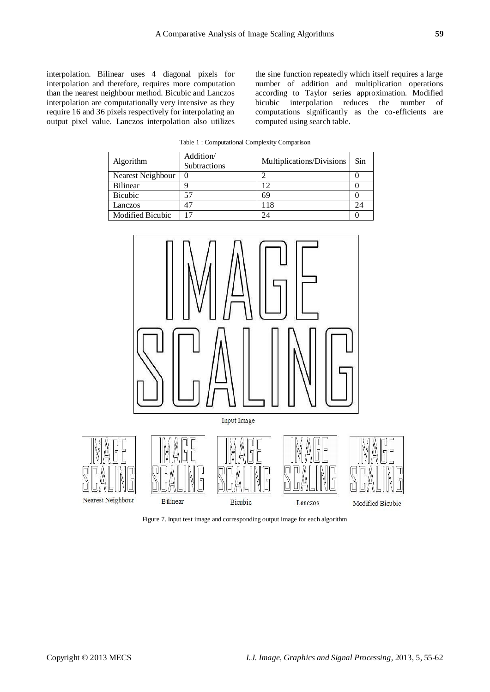interpolation. Bilinear uses 4 diagonal pixels for interpolation and therefore, requires more computation than the nearest neighbour method. Bicubic and Lanczos interpolation are computationally very intensive as they require 16 and 36 pixels respectively for interpolating an output pixel value. Lanczos interpolation also utilizes

the sine function repeatedly which itself requires a large number of addition and multiplication operations according to Taylor series approximation. Modified bicubic interpolation reduces the number of computations significantly as the co-efficients are computed using search table.

Table 1 : Computational Complexity Comparison

| Algorithm               | Addition/<br>Subtractions | Multiplications/Divisions | Sin |
|-------------------------|---------------------------|---------------------------|-----|
| Nearest Neighbour       | $\Omega$                  |                           |     |
| <b>Bilinear</b>         |                           |                           |     |
| <b>Bicubic</b>          |                           | 69                        |     |
| Lanczos                 | 47                        | 18                        |     |
| <b>Modified Bicubic</b> |                           | 24                        |     |



Figure 7. Input test image and corresponding output image for each algorithm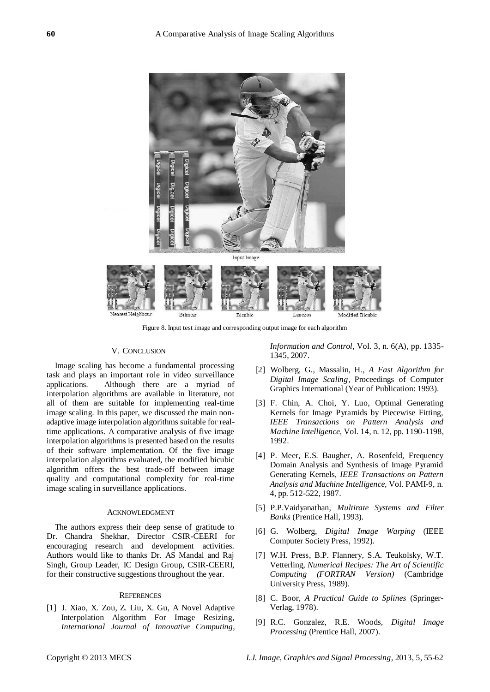

Figure 8. Input test image and corresponding output image for each algorithm

#### V. CONCLUSION

Image scaling has become a fundamental processing task and plays an important role in video surveillance applications. Although there are a myriad of interpolation algorithms are available in literature, not all of them are suitable for implementing real-time image scaling. In this paper, we discussed the main nonadaptive image interpolation algorithms suitable for realtime applications. A comparative analysis of five image interpolation algorithms is presented based on the results of their software implementation. Of the five image interpolation algorithms evaluated, the modified bicubic algorithm offers the best trade-off between image quality and computational complexity for real-time image scaling in surveillance applications.

#### ACKNOWLEDGMENT

The authors express their deep sense of gratitude to Dr. Chandra Shekhar, Director CSIR-CEERI for encouraging research and development activities. Authors would like to thanks Dr. AS Mandal and Raj Singh, Group Leader, IC Design Group, CSIR-CEERI, for their constructive suggestions throughout the year.

#### **REFERENCES**

[1] J. Xiao, X. Zou, Z. Liu, X. Gu, A Novel Adaptive Interpolation Algorithm For Image Resizing, *International Journal of Innovative Computing,* 

*Information and Control,* Vol. 3, n. 6(A), pp. 1335- 1345, 2007.

- [2] Wolberg, G., Massalin, H., *A Fast Algorithm for Digital Image Scaling*, Proceedings of Computer Graphics International (Year of Publication: 1993).
- [3] F. Chin, A. Choi, Y. Luo, Optimal Generating Kernels for Image Pyramids by Piecewise Fitting, *IEEE Transactions on Pattern Analysis and Machine Intelligence,* Vol. 14, n. 12, pp. 1190-1198, 1992.
- [4] P. Meer, E.S. Baugher, A. Rosenfeld, Frequency Domain Analysis and Synthesis of Image Pyramid Generating Kernels, *IEEE Transactions on Pattern Analysis and Machine Intelligence,* Vol. PAMI-9, n. 4, pp. 512-522, 1987.
- [5] P.P.Vaidyanathan, *Multirate Systems and Filter Banks* (Prentice Hall, 1993).
- [6] G. Wolberg, *Digital Image Warping* (IEEE Computer Society Press, 1992).
- [7] W.H. Press, B.P. Flannery, S.A. Teukolsky, W.T. Vetterling, *Numerical Recipes: The Art of Scientific Computing (FORTRAN Version)* (Cambridge University Press, 1989).
- [8] C. Boor, *A Practical Guide to Splines* (Springer-Verlag, 1978).
- [9] R.C. Gonzalez, R.E. Woods, *Digital Image Processing* (Prentice Hall, 2007).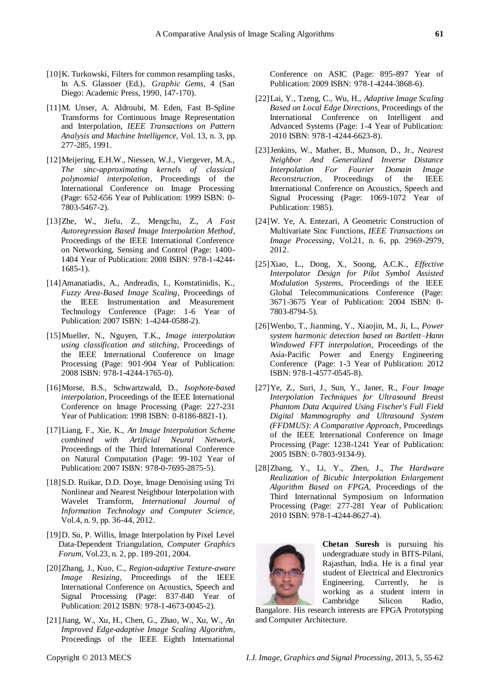- [10] K. Turkowski, Filters for common resampling tasks, In A.S. Glassner (Ed.), *Graphic Gems,* 4 (San Diego: Academic Press, 1990, 147-170).
- [11]M. Unser, A. Aldroubi, M. Eden, Fast B-Spline Transforms for Continuous Image Representation and Interpolation, *IEEE Transactions on Pattern Analysis and Machine Intelligence,* Vol. 13, n. 3, pp. 277-285, 1991.
- [12]Meijering, E.H.W., Niessen, W.J., Viergever, M.A., *The sinc-approximating kernels of classical polynomial interpolation*, Proceedings of the International Conference on Image Processing (Page: 652-656 Year of Publication: 1999 ISBN: 0- 7803-5467-2).
- [13]Zhe, W., Jiefu, Z., Mengchu, Z., *A Fast Autoregression Based Image Interpolation Method*, Proceedings of the IEEE International Conference on Networking, Sensing and Control (Page: 1400- 1404 Year of Publication: 2008 ISBN: 978-1-4244- 1685-1).
- [14]Amanatiadis, A., Andreadis, I., Konstatinidis, K., *Fuzzy Area-Based Image Scaling*, Proceedings of the IEEE Instrumentation and Measurement Technology Conference (Page: 1-6 Year of Publication: 2007 ISBN: 1-4244-0588-2).
- [15]Mueller, N., Nguyen, T.K., *Image interpolation using classification and stitching*, Proceedings of the IEEE International Conference on Image Processing (Page: 901-904 Year of Publication: 2008 ISBN: 978-1-4244-1765-0).
- [16]Morse, B.S., Schwartzwald, D., *Isophote-based interpolation*, Proceedings of the IEEE International Conference on Image Processing (Page: 227-231 Year of Publication: 1998 ISBN: 0-8186-8821-1).
- [17]Liang, F., Xie, K., *An Image Interpolation Scheme combined with Artificial Neural Network*, Proceedings of the Third International Conference on Natural Computation (Page: 99-102 Year of Publication: 2007 ISBN: 978-0-7695-2875-5).
- [18] S.D. Ruikar, D.D. Doye, Image Denoising using Tri Nonlinear and Nearest Neighbour Interpolation with Wavelet Transform, *International Journal of Information Technology and Computer Science,*  Vol.4, n. 9, pp. 36-44, 2012.
- [19]D. Su, P. Willis, Image Interpolation by Pixel Level Data-Dependent Triangulation, *Computer Graphics Forum,* Vol.23, n. 2, pp. 189-201, 2004.
- [20]Zhang, J., Kuo, C., *Region-adaptive Texture-aware Image Resizing*, Proceedings of the IEEE International Conference on Acoustics, Speech and Signal Processing (Page: 837-840 Year of Publication: 2012 ISBN: 978-1-4673-0045-2).
- [21]Jiang, W., Xu, H., Chen, G., Zhao, W., Xu, W., *An Improved Edge-adaptive Image Scaling Algorithm*, Proceedings of the IEEE Eighth International

Conference on ASIC (Page: 895-897 Year of Publication: 2009 ISBN: 978-1-4244-3868-6).

- [22]Lai, Y., Tzeng, C., Wu, H., *Adaptive Image Scaling Based on Local Edge Directions*, Proceedings of the International Conference on Intelligent and Advanced Systems (Page: 1-4 Year of Publication: 2010 ISBN: 978-1-4244-6623-8).
- [23]Jenkins, W., Mather, B., Munson, D., Jr., *Nearest Neighbor And Generalized Inverse Distance Interpolation For Fourier Domain Image Reconstruction*, Proceedings of the IEEE International Conference on Acoustics, Speech and Signal Processing (Page: 1069-1072 Year of Publication: 1985).
- [24]W. Ye, A. Entezari, A Geometric Construction of Multivariate Sinc Functions, *IEEE Transactions on Image Processing,* Vol.21, n. 6, pp. 2969-2979, 2012.
- [25]Xiao, L., Dong, X., Soong, A.C.K., *Effective Interpolator Design for Pilot Symbol Assisted Modulation Systems*, Proceedings of the IEEE Global Telecommunications Conference (Page: 3671-3675 Year of Publication: 2004 ISBN: 0- 7803-8794-5).
- [26]Wenbo, T., Jianming, Y., Xiaojin, M., Ji, L., *Power system harmonic detection based on Bartlett–Hann Windowed FFT interpolation*, Proceedings of the Asia-Pacific Power and Energy Engineering Conference (Page: 1-3 Year of Publication: 2012 ISBN: 978-1-4577-0545-8).
- [27]Ye, Z., Suri, J., Sun, Y., Janer, R., *Four Image Interpolation Techniques for Ultrasound Breast Phantom Data Acquired Using Fischer's Full Field Digital Mammography and Ultrasound System (FFDMUS): A Comparative Approach*, Proceedings of the IEEE International Conference on Image Processing (Page: 1238-1241 Year of Publication: 2005 ISBN: 0-7803-9134-9).
- [28]Zhang, Y., Li, Y., Zhen, J., *The Hardware Realization of Bicubic Interpolation Enlargement Algorithm Based on FPGA*, Proceedings of the Third International Symposium on Information Processing (Page: 277-281 Year of Publication: 2010 ISBN: 978-1-4244-8627-4).



**Chetan Suresh** is pursuing his undergraduate study in BITS-Pilani, Rajasthan, India. He is a final year student of Electrical and Electronics Engineering. Currently, he is working as a student intern in Cambridge Silicon Radio,

Bangalore. His research interests are FPGA Prototyping and Computer Architecture.